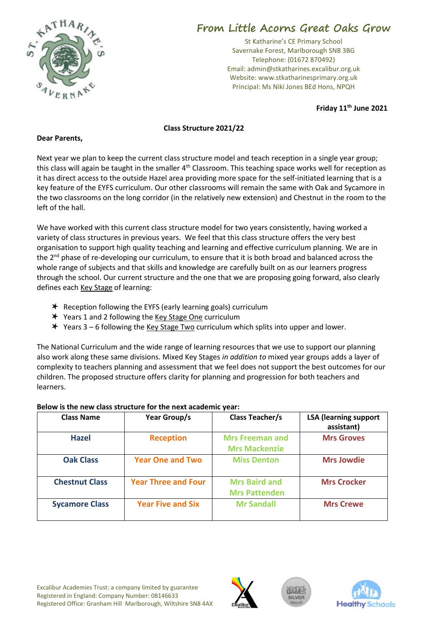

## **From Little Acorns Great Oaks Grow**

St Katharine's CE Primary School Savernake Forest, Marlborough SN8 3BG Telephone: (01672 870492) Email: admin@stkatharines.excalibur.org.uk Website: www.stkatharinesprimary.org.uk Principal: Ms Niki Jones BEd Hons, NPQH

**Friday 11th June 2021**

## **Class Structure 2021/22**

## **Dear Parents,**

Next year we plan to keep the current class structure model and teach reception in a single year group; this class will again be taught in the smaller  $4<sup>th</sup>$  Classroom. This teaching space works well for reception as it has direct access to the outside Hazel area providing more space for the self-initiated learning that is a key feature of the EYFS curriculum. Our other classrooms will remain the same with Oak and Sycamore in the two classrooms on the long corridor (in the relatively new extension) and Chestnut in the room to the left of the hall.

We have worked with this current class structure model for two years consistently, having worked a variety of class structures in previous years. We feel that this class structure offers the very best organisation to support high quality teaching and learning and effective curriculum planning. We are in the 2<sup>nd</sup> phase of re-developing our curriculum, to ensure that it is both broad and balanced across the whole range of subjects and that skills and knowledge are carefully built on as our learners progress through the school. Our current structure and the one that we are proposing going forward, also clearly defines each Key Stage of learning:

- $*$  Reception following the EYFS (early learning goals) curriculum
- Y Years 1 and 2 following the Key Stage One curriculum
- $\star$  Years 3 6 following the Key Stage Two curriculum which splits into upper and lower.

The National Curriculum and the wide range of learning resources that we use to support our planning also work along these same divisions. Mixed Key Stages *in addition to* mixed year groups adds a layer of complexity to teachers planning and assessment that we feel does not support the best outcomes for our children. The proposed structure offers clarity for planning and progression for both teachers and learners.

| <b>Class Name</b>     | Year Group/s               | <b>Class Teacher/s</b>                         | <b>LSA (learning support</b><br>assistant) |
|-----------------------|----------------------------|------------------------------------------------|--------------------------------------------|
| <b>Hazel</b>          | <b>Reception</b>           | <b>Mrs Freeman and</b><br><b>Mrs Mackenzie</b> | <b>Mrs Groves</b>                          |
| <b>Oak Class</b>      | <b>Year One and Two</b>    | <b>Miss Denton</b>                             | <b>Mrs Jowdie</b>                          |
| <b>Chestnut Class</b> | <b>Year Three and Four</b> | <b>Mrs Baird and</b><br><b>Mrs Pattenden</b>   | <b>Mrs Crocker</b>                         |
| <b>Sycamore Class</b> | <b>Year Five and Six</b>   | <b>Mr Sandall</b>                              | <b>Mrs Crewe</b>                           |

## **Below is the new class structure for the next academic year:**